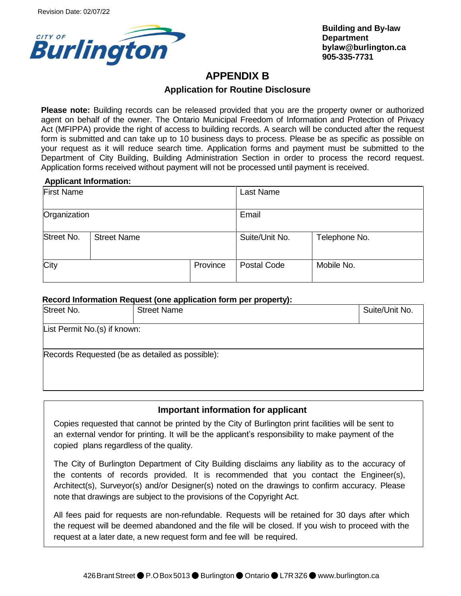

**Building and By-law Departmen[t](mailto:building@burlington.ca)  bylaw[@burlington.ca](mailto:building@burlington.ca) 905-335-7731**

# **APPENDIX B**

## **Application for Routine Disclosure**

**Please note:** Building records can be released provided that you are the property owner or authorized agent on behalf of the owner. The Ontario Municipal Freedom of Information and Protection of Privacy Act (MFIPPA) provide the right of access to building records. A search will be conducted after the request form is submitted and can take up to 10 business days to process. Please be as specific as possible on your request as it will reduce search time. Application forms and payment must be submitted to the Department of City Building, Building Administration Section in order to process the record request. Application forms received without payment will not be processed until payment is received.

#### **Applicant Information:**

| ___<br><b>First Name</b> |                    |          | Last Name      |               |
|--------------------------|--------------------|----------|----------------|---------------|
| Organization             |                    | Email    |                |               |
| Street No.               | <b>Street Name</b> |          | Suite/Unit No. | Telephone No. |
| City                     |                    | Province | Postal Code    | Mobile No.    |

#### **Record Information Request (one application form per property):**

| Street No.                                      | <b>Street Name</b> | Suite/Unit No. |
|-------------------------------------------------|--------------------|----------------|
| List Permit No.(s) if known:                    |                    |                |
| Records Requested (be as detailed as possible): |                    |                |

#### **Important information for applicant**

Copies requested that cannot be printed by the City of Burlington print facilities will be sent to an external vendor for printing. It will be the applicant's responsibility to make payment of the copied plans regardless of the quality.

The City of Burlington Department of City Building disclaims any liability as to the accuracy of the contents of records provided. It is recommended that you contact the Engineer(s), Architect(s), Surveyor(s) and/or Designer(s) noted on the drawings to confirm accuracy. Please note that drawings are subject to the provisions of the Copyright Act.

All fees paid for requests are non-refundable. Requests will be retained for 30 days after which the request will be deemed abandoned and the file will be closed. If you wish to proceed with the request at a later date, a new request form and fee will be required.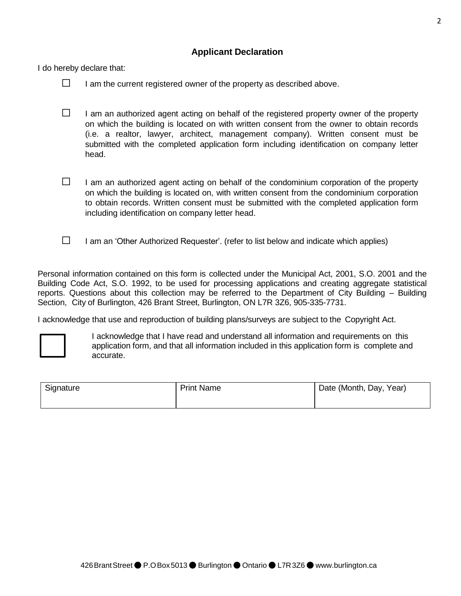## **Applicant Declaration**

I do hereby declare that:

- $\Box$  I am the current registered owner of the property as described above.
- $\Box$  I am an authorized agent acting on behalf of the registered property owner of the property on which the building is located on with written consent from the owner to obtain records (i.e. a realtor, lawyer, architect, management company). Written consent must be submitted with the completed application form including identification on company letter head.
- $\Box$  I am an authorized agent acting on behalf of the condominium corporation of the property on which the building is located on, with written consent from the condominium corporation to obtain records. Written consent must be submitted with the completed application form including identification on company letter head.
- $\Box$  I am an 'Other Authorized Requester'. (refer to list below and indicate which applies)

Personal information contained on this form is collected under the Municipal Act, 2001, S.O. 2001 and the Building Code Act, S.O. 1992, to be used for processing applications and creating aggregate statistical reports. Questions about this collection may be referred to the Department of City Building – Building Section, City of Burlington, 426 Brant Street, Burlington, ON L7R 3Z6, 905-335-7731.

I acknowledge that use and reproduction of building plans/surveys are subject to the Copyright Act.



I acknowledge that I have read and understand all information and requirements on this application form, and that all information included in this application form is complete and accurate.

| Signature | <b>Print Name</b> | Date (Month, Day, Year) |
|-----------|-------------------|-------------------------|
|           |                   |                         |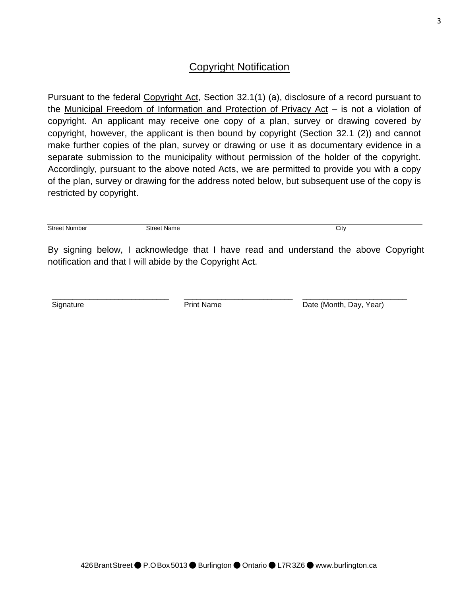# Copyright Notification

Pursuant to the federal Copyright Act, Section 32.1(1) (a), disclosure of a record pursuant to the Municipal Freedom of Information and Protection of Privacy Act – is not a violation of copyright. An applicant may receive one copy of a plan, survey or drawing covered by copyright, however, the applicant is then bound by copyright (Section 32.1 (2)) and cannot make further copies of the plan, survey or drawing or use it as documentary evidence in a separate submission to the municipality without permission of the holder of the copyright. Accordingly, pursuant to the above noted Acts, we are permitted to provide you with a copy of the plan, survey or drawing for the address noted below, but subsequent use of the copy is restricted by copyright.

**Street Number Street Name City** City

By signing below, I acknowledge that I have read and understand the above Copyright notification and that I will abide by the Copyright Act.

\_\_\_\_\_\_\_\_\_\_\_\_\_\_\_\_\_\_\_\_\_\_\_\_\_\_

**Signature** 

\_\_\_\_\_\_\_\_\_\_\_\_\_\_\_\_\_\_\_\_\_\_\_\_\_\_\_\_

Print Name

Date (Month, Day, Year)

\_\_\_\_\_\_\_\_\_\_\_\_\_\_\_\_\_\_\_\_\_\_\_\_\_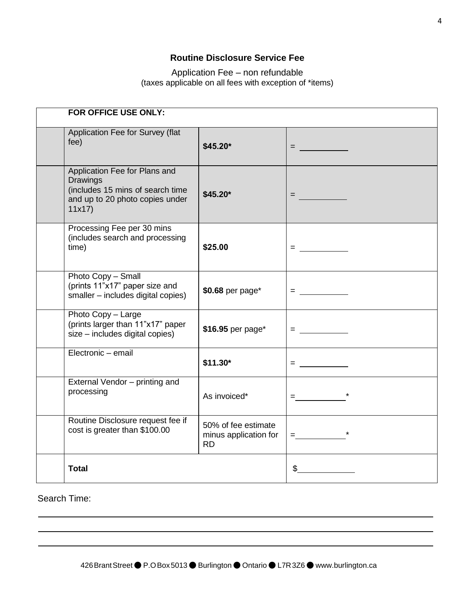# **Routine Disclosure Service Fee**

Application Fee – non refundable (taxes applicable on all fees with exception of \*items)

| FOR OFFICE USE ONLY:                                                                                                             |                                                           |                                                                                                                                                                                                                                                                                                                        |  |  |  |
|----------------------------------------------------------------------------------------------------------------------------------|-----------------------------------------------------------|------------------------------------------------------------------------------------------------------------------------------------------------------------------------------------------------------------------------------------------------------------------------------------------------------------------------|--|--|--|
| Application Fee for Survey (flat<br>fee)                                                                                         | $$45.20*$                                                 | = ________                                                                                                                                                                                                                                                                                                             |  |  |  |
| Application Fee for Plans and<br><b>Drawings</b><br>(includes 15 mins of search time<br>and up to 20 photo copies under<br>11x17 | \$45.20*                                                  | = <u>________</u>                                                                                                                                                                                                                                                                                                      |  |  |  |
| Processing Fee per 30 mins<br>(includes search and processing<br>time)                                                           | \$25.00                                                   | $=$ $\frac{1}{2}$ $\frac{1}{2}$ $\frac{1}{2}$ $\frac{1}{2}$ $\frac{1}{2}$ $\frac{1}{2}$ $\frac{1}{2}$ $\frac{1}{2}$ $\frac{1}{2}$ $\frac{1}{2}$ $\frac{1}{2}$ $\frac{1}{2}$ $\frac{1}{2}$ $\frac{1}{2}$ $\frac{1}{2}$ $\frac{1}{2}$ $\frac{1}{2}$ $\frac{1}{2}$ $\frac{1}{2}$ $\frac{1}{2}$ $\frac{1}{2}$ $\frac{1}{2$ |  |  |  |
| Photo Copy - Small<br>(prints 11"x17" paper size and<br>smaller - includes digital copies)                                       | \$0.68 per page*                                          | $\blacksquare$ . The set of the set of the set of the set of the set of the set of the set of the set of the set of the set of the set of the set of the set of the set of the set of the set of the set of the set of the set of the                                                                                  |  |  |  |
| Photo Copy - Large<br>(prints larger than 11"x17" paper<br>size - includes digital copies)                                       | \$16.95 per page*                                         | $=$ ___________                                                                                                                                                                                                                                                                                                        |  |  |  |
| Electronic - email                                                                                                               | $$11.30*$                                                 | $\blacksquare$ . The set of the set of the set of the set of the set of the set of the set of the set of the set of the set of the set of the set of the set of the set of the set of the set of the set of the set of the set of the                                                                                  |  |  |  |
| External Vendor - printing and<br>processing                                                                                     | As invoiced*                                              | $\equiv$ 100 $\pm$ 100 $\pm$                                                                                                                                                                                                                                                                                           |  |  |  |
| Routine Disclosure request fee if<br>cost is greater than \$100.00                                                               | 50% of fee estimate<br>minus application for<br><b>RD</b> | $=$ $\frac{1}{2}$ $\frac{1}{2}$ $\frac{1}{2}$ $\frac{1}{2}$ $\frac{1}{2}$ $\frac{1}{2}$ $\frac{1}{2}$ $\frac{1}{2}$ $\frac{1}{2}$ $\frac{1}{2}$ $\frac{1}{2}$ $\frac{1}{2}$ $\frac{1}{2}$ $\frac{1}{2}$ $\frac{1}{2}$ $\frac{1}{2}$ $\frac{1}{2}$ $\frac{1}{2}$ $\frac{1}{2}$ $\frac{1}{2}$ $\frac{1}{2}$ $\frac{1}{2$ |  |  |  |
| <b>Total</b>                                                                                                                     |                                                           | $\frac{1}{2}$                                                                                                                                                                                                                                                                                                          |  |  |  |

Search Time: